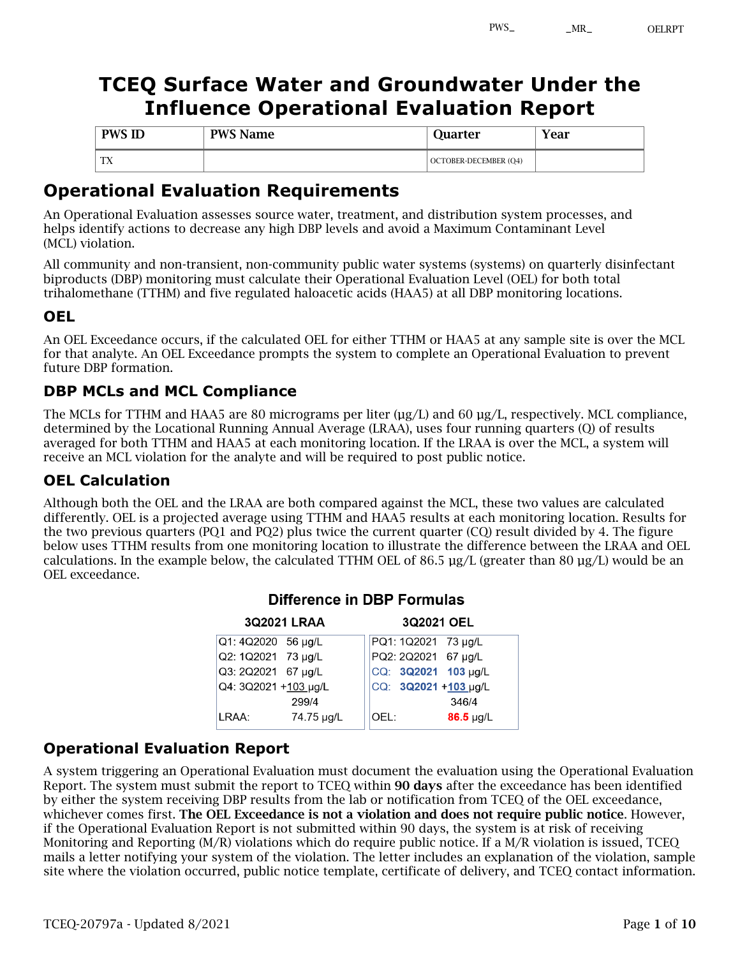# **TCEQ Surface Water and Groundwater Under the Influence Operational Evaluation Report**

| <b>PWS ID</b> | <b>PWS Name</b> | Juarter                      | Year |
|---------------|-----------------|------------------------------|------|
| <b>TX</b>     |                 | <b>OCTOBER-DECEMBER (Q4)</b> |      |

## **Operational Evaluation Requirements**

An Operational Evaluation assesses source water, treatment, and distribution system processes, and helps identify actions to decrease any high DBP levels and avoid a Maximum Contaminant Level (MCL) violation.

All community and non-transient, non-community public water systems (systems) on quarterly disinfectant biproducts (DBP) monitoring must calculate their Operational Evaluation Level (OEL) for both total trihalomethane (TTHM) and five regulated haloacetic acids (HAA5) at all DBP monitoring locations.

#### **OEL**

An OEL Exceedance occurs, if the calculated OEL for either TTHM or HAA5 at any sample site is over the MCL for that analyte. An OEL Exceedance prompts the system to complete an Operational Evaluation to prevent future DBP formation.

### **DBP MCLs and MCL Compliance**

The MCLs for TTHM and HAA5 are 80 micrograms per liter (µg/L) and 60 µg/L, respectively. MCL compliance, determined by the Locational Running Annual Average (LRAA), uses four running quarters (Q) of results averaged for both TTHM and HAA5 at each monitoring location. If the LRAA is over the MCL, a system will receive an MCL violation for the analyte and will be required to post public notice.

### **OEL Calculation**

Although both the OEL and the LRAA are both compared against the MCL, these two values are calculated differently. OEL is a projected average using TTHM and HAA5 results at each monitoring location. Results for the two previous quarters (PQ1 and PQ2) plus twice the current quarter (CQ) result divided by 4. The figure below uses TTHM results from one monitoring location to illustrate the difference between the LRAA and OEL calculations. In the example below, the calculated TTHM OEL of 86.5 µg/L (greater than 80 µg/L) would be an OEL exceedance.

| <b>3Q2021 LRAA</b><br>3Q2021 OEL |            |                        |  |  |
|----------------------------------|------------|------------------------|--|--|
| Q1: 4Q2020 56 µg/L               |            | PQ1: 1Q2021 73 µg/L    |  |  |
| Q2: 1Q2021 73 µg/L               |            | PQ2: 2Q2021 67 µg/L    |  |  |
| Q3: 2Q2021 67 µg/L               |            | CQ: 3Q2021 103 µg/L    |  |  |
| Q4: 3Q2021 +103 µg/L             |            | CQ: 3Q2021 +103 µg/L   |  |  |
|                                  | 299/4      | 346/4                  |  |  |
| LRAA:                            | 74.75 µg/L | $86.5 \mu g/L$<br>OEL: |  |  |
|                                  |            |                        |  |  |

#### Difference in DBP Formulas

 $\frac{1}{2}$ 

 $\frac{1}{2}$ 

#### **Operational Evaluation Report**

A system triggering an Operational Evaluation must document the evaluation using the Operational Evaluation Report. The system must submit the report to TCEQ within 90 days after the exceedance has been identified by either the system receiving DBP results from the lab or notification from TCEQ of the OEL exceedance, whichever comes first. The OEL Exceedance is not a violation and does not require public notice. However, if the Operational Evaluation Report is not submitted within 90 days, the system is at risk of receiving Monitoring and Reporting (M/R) violations which do require public notice. If a M/R violation is issued, TCEQ mails a letter notifying your system of the violation. The letter includes an explanation of the violation, sample site where the violation occurred, public notice template, certificate of delivery, and TCEQ contact information.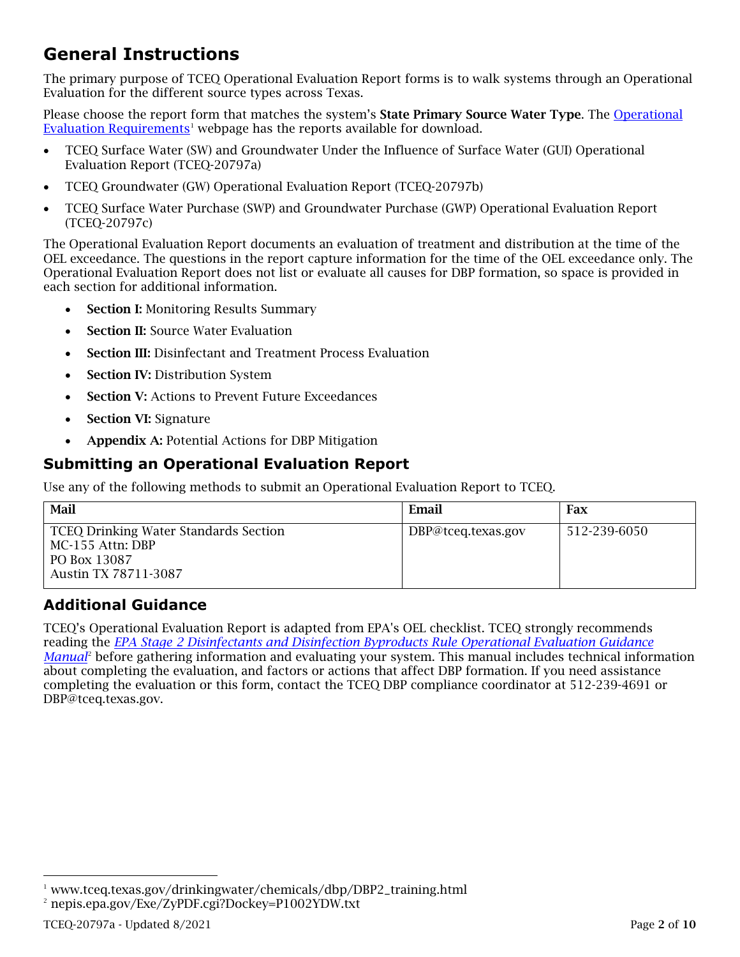# **General Instructions**

The primary purpose of TCEQ Operational Evaluation Report forms is to walk systems through an Operational Evaluation for the different source types across Texas.

Please choose the report form that matches the system's **State Primary Source Water Type**. The Operational Evaluation Requirements<sup>1</sup> webpage has the reports available for download.

- TCEQ Surface Water (SW) and Groundwater Under the Influence of Surface Water (GUI) Operational Evaluation Report (TCEQ-20797a)
- TCEQ Groundwater (GW) Operational Evaluation Report (TCEQ-20797b)
- TCEQ Surface Water Purchase (SWP) and Groundwater Purchase (GWP) Operational Evaluation Report (TCEQ-20797c)

The Operational Evaluation Report documents an evaluation of treatment and distribution at the time of the OEL exceedance. The questions in the report capture information for the time of the OEL exceedance only. The Operational Evaluation Report does not list or evaluate all causes for DBP formation, so space is provided in each section for additional information.

- **Section I: Monitoring Results Summary**
- **Section II:** Source Water Evaluation
- Section III: Disinfectant and Treatment Process Evaluation
- **Section IV: Distribution System**
- Section V: Actions to Prevent Future Exceedances
- **Section VI: Signature**
- Appendix A: Potential Actions for DBP Mitigation

### **Submitting an Operational Evaluation Report**

Use any of the following methods to submit an Operational Evaluation Report to TCEQ.

| Mail                                                                                                     | Email              | Fax          |
|----------------------------------------------------------------------------------------------------------|--------------------|--------------|
| <b>TCEQ Drinking Water Standards Section</b><br>MC-155 Attn: DBP<br>PO Box 13087<br>Austin TX 78711-3087 | DBP@tceq.texas.gov | 512-239-6050 |

### **Additional Guidance**

TCEQ's Operational Evaluation Report is adapted from EPA's OEL checklist. TCEQ strongly recommends reading the *EPA Stage 2 Disinfectants and Disinfection Byproducts Rule Operational Evaluation Guidance Manual*<sup>2</sup> before gathering information and evaluating your system. This manual includes technical information about completing the evaluation, and factors or actions that affect DBP formation. If you need assistance completing the evaluation or this form, contact the TCEQ DBP compliance coordinator at 512-239-4691 or DBP@tceq.texas.gov.

<sup>&</sup>lt;sup>1</sup> www.tceq.texas.gov/drinkingwater/chemicals/dbp/DBP2\_training.html

<sup>2</sup> nepis.epa.gov/Exe/ZyPDF.cgi?Dockey=P1002YDW.txt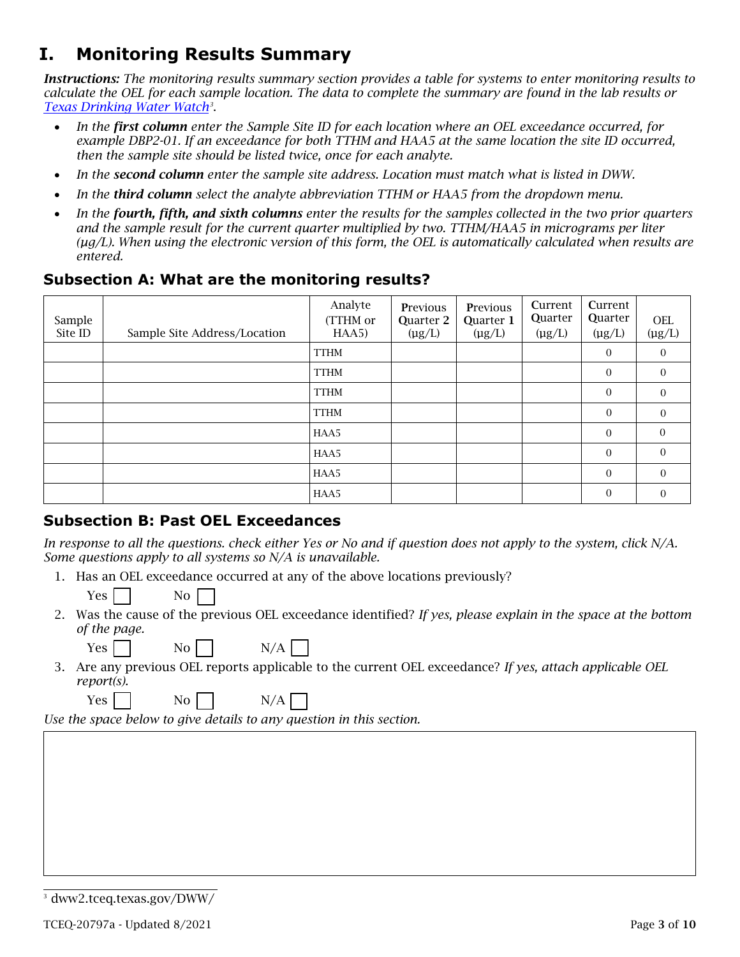# **I. Monitoring Results Summary**

*Instructions: The monitoring results summary section provides a table for systems to enter monitoring results to calculate the OEL for each sample location. The data to complete the summary are found in the lab results or Texas Drinking Water Watch3* .

- *In the first column enter the Sample Site ID for each location where an OEL exceedance occurred, for example DBP2-01. If an exceedance for both TTHM and HAA5 at the same location the site ID occurred, then the sample site should be listed twice, once for each analyte.*
- *In the second column enter the sample site address. Location must match what is listed in DWW.*
- *In the third column select the analyte abbreviation TTHM or HAA5 from the dropdown menu.*
- *In the fourth, fifth, and sixth columns enter the results for the samples collected in the two prior quarters and the sample result for the current quarter multiplied by two. TTHM/HAA5 in micrograms per liter (µg/L). When using the electronic version of this form, the OEL is automatically calculated when results are entered.*

#### **Subsection A: What are the monitoring results?**

| Sample<br>Site ID | Sample Site Address/Location | Analyte<br>(TTHM or<br>HAA5) | Previous<br>Quarter 2<br>$(\mu g/L)$ | <b>Previous</b><br>Quarter 1<br>$(\mu g/L)$ | Current<br><b>Quarter</b><br>$(\mu g/L)$ | Current<br>Quarter<br>$(\mu g/L)$ | <b>OEL</b><br>$(\mu g/L)$ |
|-------------------|------------------------------|------------------------------|--------------------------------------|---------------------------------------------|------------------------------------------|-----------------------------------|---------------------------|
|                   |                              | <b>TTHM</b>                  |                                      |                                             |                                          | $\overline{0}$                    | $\theta$                  |
|                   |                              | <b>TTHM</b>                  |                                      |                                             |                                          | $\mathbf{0}$                      | $\boldsymbol{0}$          |
|                   |                              | <b>TTHM</b>                  |                                      |                                             |                                          | $\mathbf{0}$                      | $\theta$                  |
|                   |                              | <b>TTHM</b>                  |                                      |                                             |                                          | $\overline{0}$                    | $\Omega$                  |
|                   |                              | HAA5                         |                                      |                                             |                                          | $\mathbf{0}$                      | $\theta$                  |
|                   |                              | HAA5                         |                                      |                                             |                                          | $\mathbf{0}$                      | $\Omega$                  |
|                   |                              | HAA5                         |                                      |                                             |                                          | $\mathbf{0}$                      | $\Omega$                  |
|                   |                              | HAA5                         |                                      |                                             |                                          | $\mathbf{0}$                      | $\theta$                  |

#### **Subsection B: Past OEL Exceedances**

In response to all the questions. check either Yes or No and if question does not apply to the *system, click N/A. Some questions apply to all systems so N/A is unavailable.*

- 1. Has an OEL exceedance occurred at any of the above locations previously?
	- Yes I I No
- 2. Was the cause of the previous OEL exceedance identified? *If yes, please explain in the space at the bottom of the page.*

 $Yes$   $No$   $N/A$ 

3. Are any previous OEL reports applicable to the current OEL exceedance? *If yes, attach applicable OEL report(s).*

Yes No N/A

*Use the space below to give details to any question in this section.*

<sup>3</sup> dww2.tceq.texas.gov/DWW/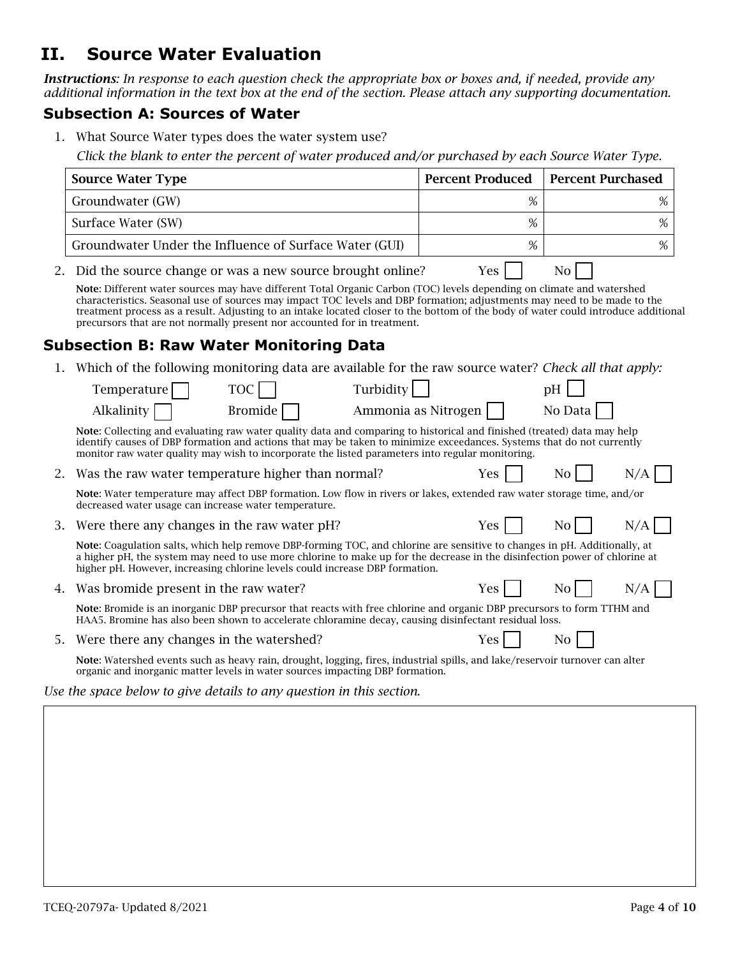## **II. Source Water Evaluation**

*Instructions: In response to each question check the appropriate box or boxes and, if needed, provide any additional information in the text box at the end of the section. Please attach any supporting documentation.*

#### **Subsection A: Sources of Water**

1. What Source Water types does the water system use?

*Click the blank to enter the percent of water produced and/or purchased by each Source Water Type.*

|    | <b>Source Water Type</b>                                                                                                                                                                                                                                                                                                                                                                                                                                            | <b>Percent Produced</b> | <b>Percent Purchased</b> |
|----|---------------------------------------------------------------------------------------------------------------------------------------------------------------------------------------------------------------------------------------------------------------------------------------------------------------------------------------------------------------------------------------------------------------------------------------------------------------------|-------------------------|--------------------------|
|    | Groundwater (GW)                                                                                                                                                                                                                                                                                                                                                                                                                                                    | %                       | %                        |
|    | Surface Water (SW)                                                                                                                                                                                                                                                                                                                                                                                                                                                  | %                       | %                        |
|    | Groundwater Under the Influence of Surface Water (GUI)                                                                                                                                                                                                                                                                                                                                                                                                              | %                       | %                        |
| 2. | Did the source change or was a new source brought online?                                                                                                                                                                                                                                                                                                                                                                                                           | Yes                     | N <sub>0</sub>           |
|    | Note: Different water sources may have different Total Organic Carbon (TOC) levels depending on climate and watershed<br>characteristics. Seasonal use of sources may impact TOC levels and DBP formation; adjustments may need to be made to the<br>treatment process as a result. Adjusting to an intake located closer to the bottom of the body of water could introduce additional<br>precursors that are not normally present nor accounted for in treatment. |                         |                          |
|    | <b>Subsection B: Raw Water Monitoring Data</b>                                                                                                                                                                                                                                                                                                                                                                                                                      |                         |                          |
| 1. | Which of the following monitoring data are available for the raw source water? Check all that apply:                                                                                                                                                                                                                                                                                                                                                                |                         |                          |
|    | Turbidity<br><b>TOC</b><br>Temperature                                                                                                                                                                                                                                                                                                                                                                                                                              |                         | pH                       |
|    | <b>Bromide</b><br>Alkalinity                                                                                                                                                                                                                                                                                                                                                                                                                                        | Ammonia as Nitrogen     | No Data                  |
|    | Note: Collecting and evaluating raw water quality data and comparing to historical and finished (treated) data may help<br>identify causes of DBP formation and actions that may be taken to minimize exceedances. Systems that do not currently<br>monitor raw water quality may wish to incorporate the listed parameters into regular monitoring.                                                                                                                |                         |                          |
| 2. | Was the raw water temperature higher than normal?                                                                                                                                                                                                                                                                                                                                                                                                                   | Yes                     | N <sub>0</sub><br>N/A    |
|    | Note: Water temperature may affect DBP formation. Low flow in rivers or lakes, extended raw water storage time, and/or<br>decreased water usage can increase water temperature.                                                                                                                                                                                                                                                                                     |                         |                          |
| З. | Were there any changes in the raw water pH?                                                                                                                                                                                                                                                                                                                                                                                                                         | Yes                     | N/A<br>No                |
|    | Note: Coagulation salts, which help remove DBP-forming TOC, and chlorine are sensitive to changes in pH. Additionally, at<br>a higher pH, the system may need to use more chlorine to make up for the decrease in the disinfection power of chlorine at<br>higher pH. However, increasing chlorine levels could increase DBP formation.                                                                                                                             |                         |                          |
| 4. | Was bromide present in the raw water?                                                                                                                                                                                                                                                                                                                                                                                                                               | Yes                     | N <sub>0</sub><br>N/A    |
|    | Note: Bromide is an inorganic DBP precursor that reacts with free chlorine and organic DBP precursors to form TTHM and<br>HAA5. Bromine has also been shown to accelerate chloramine decay, causing disinfectant residual loss.                                                                                                                                                                                                                                     |                         |                          |
| 5. | Were there any changes in the watershed?                                                                                                                                                                                                                                                                                                                                                                                                                            | Yes                     | N <sub>0</sub>           |
|    | Note: Watershed events such as heavy rain, drought, logging, fires, industrial spills, and lake/reservoir turnover can alter<br>organic and inorganic matter levels in water sources impacting DBP formation.                                                                                                                                                                                                                                                       |                         |                          |
|    | Use the space below to give details to any question in this section.                                                                                                                                                                                                                                                                                                                                                                                                |                         |                          |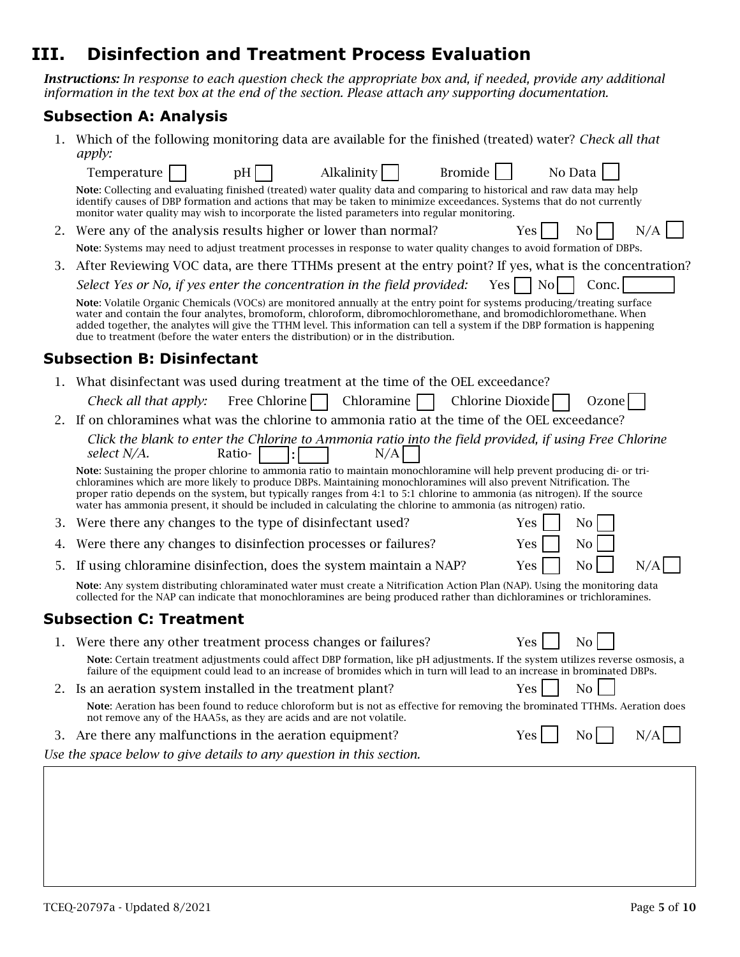## **III. Disinfection and Treatment Process Evaluation**

*Instructions: In response to each question check the appropriate box and, if needed, provide any additional information in the text box at the end of the section. Please attach any supporting documentation.* 

### **Subsection A: Analysis**

|    | Which of the following monitoring data are available for the finished (treated) water? Check all that<br><i>apply:</i>                                                                                                                                                                                                                                                                                                                                                                       |
|----|----------------------------------------------------------------------------------------------------------------------------------------------------------------------------------------------------------------------------------------------------------------------------------------------------------------------------------------------------------------------------------------------------------------------------------------------------------------------------------------------|
|    | Bromide<br>Alkalinity<br>Temperature<br>No Data<br>pH                                                                                                                                                                                                                                                                                                                                                                                                                                        |
|    | Note: Collecting and evaluating finished (treated) water quality data and comparing to historical and raw data may help<br>identify causes of DBP formation and actions that may be taken to minimize exceedances. Systems that do not currently<br>monitor water quality may wish to incorporate the listed parameters into regular monitoring.                                                                                                                                             |
| 2. | N/A<br>Were any of the analysis results higher or lower than normal?<br>N <sub>0</sub><br><b>Yes</b>                                                                                                                                                                                                                                                                                                                                                                                         |
|    | Note: Systems may need to adjust treatment processes in response to water quality changes to avoid formation of DBPs.                                                                                                                                                                                                                                                                                                                                                                        |
| 3. | After Reviewing VOC data, are there TTHMs present at the entry point? If yes, what is the concentration?                                                                                                                                                                                                                                                                                                                                                                                     |
|    | Select Yes or No, if yes enter the concentration in the field provided:<br>Conc.<br>Yes<br>N <sub>0</sub>                                                                                                                                                                                                                                                                                                                                                                                    |
|    | Note: Volatile Organic Chemicals (VOCs) are monitored annually at the entry point for systems producing/treating surface<br>water and contain the four analytes, bromoform, chloroform, dibromochloromethane, and bromodichloromethane. When<br>added together, the analytes will give the TTHM level. This information can tell a system if the DBP formation is happening<br>due to treatment (before the water enters the distribution) or in the distribution.                           |
|    | <b>Subsection B: Disinfectant</b>                                                                                                                                                                                                                                                                                                                                                                                                                                                            |
|    | What disinfectant was used during treatment at the time of the OEL exceedance?                                                                                                                                                                                                                                                                                                                                                                                                               |
|    | Free Chlorine $\Box$<br>Chloramine<br>Chlorine Dioxide<br>Check all that apply:<br>Ozone                                                                                                                                                                                                                                                                                                                                                                                                     |
| 2. | If on chloramines what was the chlorine to ammonia ratio at the time of the OEL exceedance?                                                                                                                                                                                                                                                                                                                                                                                                  |
|    | Click the blank to enter the Chlorine to Ammonia ratio into the field provided, if using Free Chlorine<br>Ratio-<br>N/A<br>select N/A.                                                                                                                                                                                                                                                                                                                                                       |
|    | Note: Sustaining the proper chlorine to ammonia ratio to maintain monochloramine will help prevent producing di- or tri-<br>chloramines which are more likely to produce DBPs. Maintaining monochloramines will also prevent Nitrification. The<br>proper ratio depends on the system, but typically ranges from 4:1 to 5:1 chlorine to ammonia (as nitrogen). If the source<br>water has ammonia present, it should be included in calculating the chlorine to ammonia (as nitrogen) ratio. |
| 3. | Were there any changes to the type of disinfectant used?<br>Yes<br>N <sub>0</sub>                                                                                                                                                                                                                                                                                                                                                                                                            |
| 4. | Were there any changes to disinfection processes or failures?<br>Yes<br>N <sub>0</sub>                                                                                                                                                                                                                                                                                                                                                                                                       |
| 5. | N <sub>0</sub><br>If using chloramine disinfection, does the system maintain a NAP?<br>Yes<br>N/A                                                                                                                                                                                                                                                                                                                                                                                            |
|    | Note: Any system distributing chloraminated water must create a Nitrification Action Plan (NAP). Using the monitoring data<br>collected for the NAP can indicate that monochloramines are being produced rather than dichloramines or trichloramines.                                                                                                                                                                                                                                        |
|    | <b>Subsection C: Treatment</b>                                                                                                                                                                                                                                                                                                                                                                                                                                                               |
|    | Yes<br>Were there any other treatment process changes or failures?<br>N <sub>0</sub>                                                                                                                                                                                                                                                                                                                                                                                                         |
|    | Note: Certain treatment adjustments could affect DBP formation, like pH adjustments. If the system utilizes reverse osmosis, a<br>failure of the equipment could lead to an increase of bromides which in turn will lead to an increase in brominated DBPs.                                                                                                                                                                                                                                  |
|    | No<br>2. Is an aeration system installed in the treatment plant?<br>Yes                                                                                                                                                                                                                                                                                                                                                                                                                      |
|    | Note: Aeration has been found to reduce chloroform but is not as effective for removing the brominated TTHMs. Aeration does<br>not remove any of the HAA5s, as they are acids and are not volatile.                                                                                                                                                                                                                                                                                          |
|    | N <sub>0</sub><br>N/A<br>3. Are there any malfunctions in the aeration equipment?<br><b>Yes</b>                                                                                                                                                                                                                                                                                                                                                                                              |
|    | Use the space below to give details to any question in this section.                                                                                                                                                                                                                                                                                                                                                                                                                         |
|    |                                                                                                                                                                                                                                                                                                                                                                                                                                                                                              |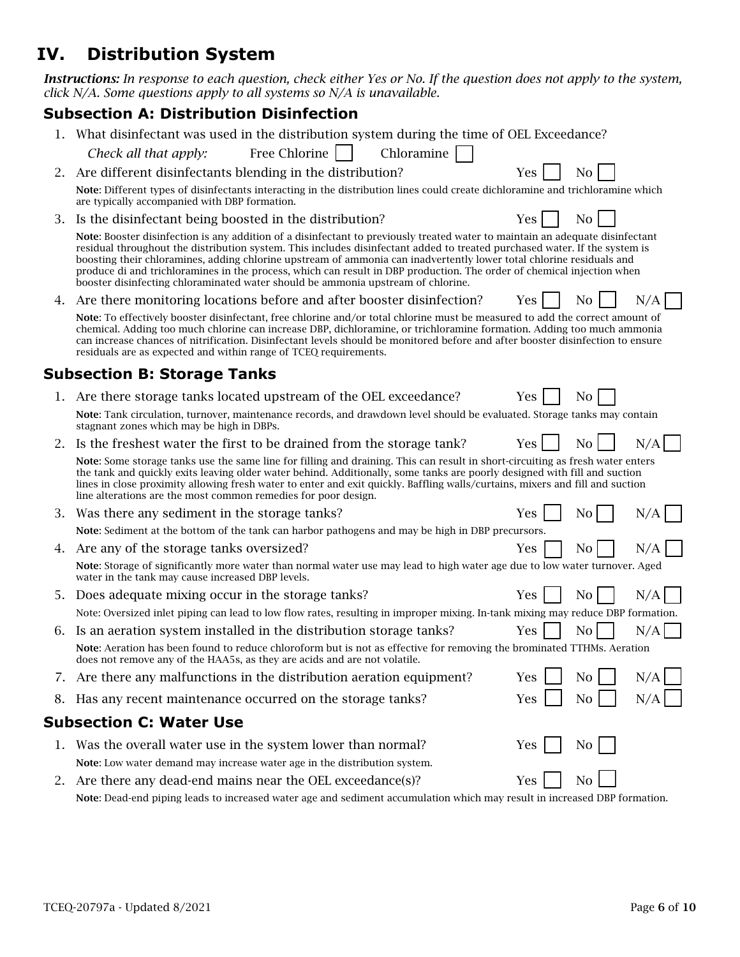## **IV. Distribution System**

*Instructions: In response to each question, check either Yes or No. If the question does not apply to the system, click N/A. Some questions apply to all systems so N/A is unavailable.*

### **Subsection A: Distribution Disinfection**

|    | What disinfectant was used in the distribution system during the time of OEL Exceedance?                                                                                                                                                                                                                                                                                                                                                                                                                                                                                                          |            |                |     |
|----|---------------------------------------------------------------------------------------------------------------------------------------------------------------------------------------------------------------------------------------------------------------------------------------------------------------------------------------------------------------------------------------------------------------------------------------------------------------------------------------------------------------------------------------------------------------------------------------------------|------------|----------------|-----|
|    | Free Chlorine<br>Chloramine<br>Check all that apply:                                                                                                                                                                                                                                                                                                                                                                                                                                                                                                                                              |            |                |     |
| 2. | Are different disinfectants blending in the distribution?                                                                                                                                                                                                                                                                                                                                                                                                                                                                                                                                         | Yes        | N <sub>0</sub> |     |
|    | Note: Different types of disinfectants interacting in the distribution lines could create dichloramine and trichloramine which<br>are typically accompanied with DBP formation.                                                                                                                                                                                                                                                                                                                                                                                                                   |            |                |     |
| 3. | Is the disinfectant being boosted in the distribution?                                                                                                                                                                                                                                                                                                                                                                                                                                                                                                                                            | Yes        | No.            |     |
|    | Note: Booster disinfection is any addition of a disinfectant to previously treated water to maintain an adequate disinfectant<br>residual throughout the distribution system. This includes disinfectant added to treated purchased water. If the system is<br>boosting their chloramines, adding chlorine upstream of ammonia can inadvertently lower total chlorine residuals and<br>produce di and trichloramines in the process, which can result in DBP production. The order of chemical injection when<br>booster disinfecting chloraminated water should be ammonia upstream of chlorine. |            |                |     |
| 4. | Are there monitoring locations before and after booster disinfection?                                                                                                                                                                                                                                                                                                                                                                                                                                                                                                                             | Yes        | N <sub>0</sub> | N/A |
|    | Note: To effectively booster disinfectant, free chlorine and/or total chlorine must be measured to add the correct amount of<br>chemical. Adding too much chlorine can increase DBP, dichloramine, or trichloramine formation. Adding too much ammonia<br>can increase chances of nitrification. Disinfectant levels should be monitored before and after booster disinfection to ensure<br>residuals are as expected and within range of TCEQ requirements.                                                                                                                                      |            |                |     |
|    | <b>Subsection B: Storage Tanks</b>                                                                                                                                                                                                                                                                                                                                                                                                                                                                                                                                                                |            |                |     |
| 1. | Are there storage tanks located upstream of the OEL exceedance?                                                                                                                                                                                                                                                                                                                                                                                                                                                                                                                                   | Yes        | N <sub>0</sub> |     |
|    | Note: Tank circulation, turnover, maintenance records, and drawdown level should be evaluated. Storage tanks may contain<br>stagnant zones which may be high in DBPs.                                                                                                                                                                                                                                                                                                                                                                                                                             |            |                |     |
| 2. | Is the freshest water the first to be drained from the storage tank?                                                                                                                                                                                                                                                                                                                                                                                                                                                                                                                              | <b>Yes</b> | N <sub>o</sub> | N/A |
|    | Note: Some storage tanks use the same line for filling and draining. This can result in short-circuiting as fresh water enters<br>the tank and quickly exits leaving older water behind. Additionally, some tanks are poorly designed with fill and suction<br>lines in close proximity allowing fresh water to enter and exit quickly. Baffling walls/curtains, mixers and fill and suction<br>line alterations are the most common remedies for poor design.                                                                                                                                    |            |                |     |
| 3. | Was there any sediment in the storage tanks?                                                                                                                                                                                                                                                                                                                                                                                                                                                                                                                                                      | Yes        | Nο             | N/A |
|    | Note: Sediment at the bottom of the tank can harbor pathogens and may be high in DBP precursors.                                                                                                                                                                                                                                                                                                                                                                                                                                                                                                  |            |                |     |
| 4. | Are any of the storage tanks oversized?                                                                                                                                                                                                                                                                                                                                                                                                                                                                                                                                                           | Yes        | N <sub>0</sub> | N/A |
|    | Note: Storage of significantly more water than normal water use may lead to high water age due to low water turnover. Aged<br>water in the tank may cause increased DBP levels.                                                                                                                                                                                                                                                                                                                                                                                                                   |            |                |     |
| 5. | Does adequate mixing occur in the storage tanks?                                                                                                                                                                                                                                                                                                                                                                                                                                                                                                                                                  | Yes        | No             | N/A |
|    | Note: Oversized inlet piping can lead to low flow rates, resulting in improper mixing. In-tank mixing may reduce DBP formation.                                                                                                                                                                                                                                                                                                                                                                                                                                                                   |            |                |     |
| 6. | Is an aeration system installed in the distribution storage tanks?                                                                                                                                                                                                                                                                                                                                                                                                                                                                                                                                | <b>Yes</b> | N <sub>0</sub> | N/A |
|    | Note: Aeration has been found to reduce chloroform but is not as effective for removing the brominated TTHMs. Aeration<br>does not remove any of the HAA5s, as they are acids and are not volatile.                                                                                                                                                                                                                                                                                                                                                                                               |            |                |     |
|    | 7. Are there any malfunctions in the distribution aeration equipment?                                                                                                                                                                                                                                                                                                                                                                                                                                                                                                                             | Yes        | N <sub>0</sub> | N/A |
|    | Has any recent maintenance occurred on the storage tanks?                                                                                                                                                                                                                                                                                                                                                                                                                                                                                                                                         | Yes        | No             | N/A |
|    | <b>Subsection C: Water Use</b>                                                                                                                                                                                                                                                                                                                                                                                                                                                                                                                                                                    |            |                |     |
| 1. | Was the overall water use in the system lower than normal?                                                                                                                                                                                                                                                                                                                                                                                                                                                                                                                                        | Yes        | No             |     |
|    | Note: Low water demand may increase water age in the distribution system.                                                                                                                                                                                                                                                                                                                                                                                                                                                                                                                         |            |                |     |
| Z. | Are there any dead-end mains near the OEL exceedance(s)?                                                                                                                                                                                                                                                                                                                                                                                                                                                                                                                                          | Yes        | No             |     |

Note: Dead-end piping leads to increased water age and sediment accumulation which may result in increased DBP formation.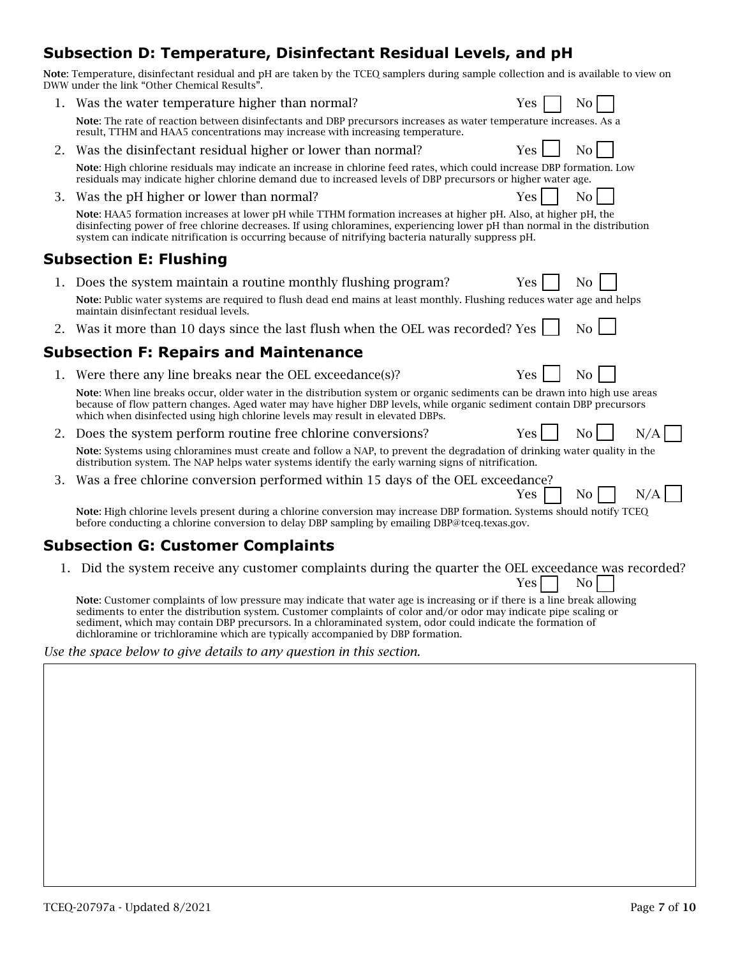## **Subsection D: Temperature, Disinfectant Residual Levels, and pH**

Note: Temperature, disinfectant residual and pH are taken by the TCEQ samplers during sample collection and is available to view on DWW under the link "Other Chemical Results".

|    | Was the water temperature higher than normal?                                                                                                                                                                                                                                                                                                                                                                                                   | Yes        | No               |     |
|----|-------------------------------------------------------------------------------------------------------------------------------------------------------------------------------------------------------------------------------------------------------------------------------------------------------------------------------------------------------------------------------------------------------------------------------------------------|------------|------------------|-----|
|    | Note: The rate of reaction between disinfectants and DBP precursors increases as water temperature increases. As a<br>result, TTHM and HAA5 concentrations may increase with increasing temperature.                                                                                                                                                                                                                                            |            |                  |     |
| 2. | Was the disinfectant residual higher or lower than normal?                                                                                                                                                                                                                                                                                                                                                                                      | <b>Yes</b> | $\overline{N}$ o |     |
|    | Note: High chlorine residuals may indicate an increase in chlorine feed rates, which could increase DBP formation. Low<br>residuals may indicate higher chlorine demand due to increased levels of DBP precursors or higher water age.                                                                                                                                                                                                          |            |                  |     |
| З. | Was the pH higher or lower than normal?                                                                                                                                                                                                                                                                                                                                                                                                         | <b>Yes</b> | N <sub>o</sub>   |     |
|    | Note: HAA5 formation increases at lower pH while TTHM formation increases at higher pH. Also, at higher pH, the<br>disinfecting power of free chlorine decreases. If using chloramines, experiencing lower pH than normal in the distribution<br>system can indicate nitrification is occurring because of nitrifying bacteria naturally suppress pH.                                                                                           |            |                  |     |
|    | <b>Subsection E: Flushing</b>                                                                                                                                                                                                                                                                                                                                                                                                                   |            |                  |     |
| 1. | Does the system maintain a routine monthly flushing program?                                                                                                                                                                                                                                                                                                                                                                                    | Yes        | N <sub>0</sub>   |     |
|    | Note: Public water systems are required to flush dead end mains at least monthly. Flushing reduces water age and helps<br>maintain disinfectant residual levels.                                                                                                                                                                                                                                                                                |            |                  |     |
| 2. | Was it more than 10 days since the last flush when the OEL was recorded? Yes                                                                                                                                                                                                                                                                                                                                                                    |            | No               |     |
|    | <b>Subsection F: Repairs and Maintenance</b>                                                                                                                                                                                                                                                                                                                                                                                                    |            |                  |     |
| 1. | Were there any line breaks near the OEL exceedance(s)?                                                                                                                                                                                                                                                                                                                                                                                          | <b>Yes</b> | No               |     |
|    | Note: When line breaks occur, older water in the distribution system or organic sediments can be drawn into high use areas<br>because of flow pattern changes. Aged water may have higher DBP levels, while organic sediment contain DBP precursors<br>which when disinfected using high chlorine levels may result in elevated DBPs.                                                                                                           |            |                  |     |
| 2. | Does the system perform routine free chlorine conversions?                                                                                                                                                                                                                                                                                                                                                                                      | <b>Yes</b> | N <sub>0</sub>   | N/A |
|    | Note: Systems using chloramines must create and follow a NAP, to prevent the degradation of drinking water quality in the<br>distribution system. The NAP helps water systems identify the early warning signs of nitrification.                                                                                                                                                                                                                |            |                  |     |
| 3. | Was a free chlorine conversion performed within 15 days of the OEL exceedance?                                                                                                                                                                                                                                                                                                                                                                  | Yes        | N <sub>0</sub>   | N/A |
|    | Note: High chlorine levels present during a chlorine conversion may increase DBP formation. Systems should notify TCEQ<br>before conducting a chlorine conversion to delay DBP sampling by emailing DBP@tceq.texas.gov.                                                                                                                                                                                                                         |            |                  |     |
|    | <b>Subsection G: Customer Complaints</b>                                                                                                                                                                                                                                                                                                                                                                                                        |            |                  |     |
|    | 1. Did the system receive any customer complaints during the quarter the OEL exceedance was recorded?                                                                                                                                                                                                                                                                                                                                           | Yes.       | N <sub>0</sub>   |     |
|    | Note: Customer complaints of low pressure may indicate that water age is increasing or if there is a line break allowing<br>sediments to enter the distribution system. Customer complaints of color and/or odor may indicate pipe scaling or<br>sediment, which may contain DBP precursors. In a chloraminated system, odor could indicate the formation of<br>dichloramine or trichloramine which are typically accompanied by DBP formation. |            |                  |     |
|    | Use the space below to give details to any question in this section.                                                                                                                                                                                                                                                                                                                                                                            |            |                  |     |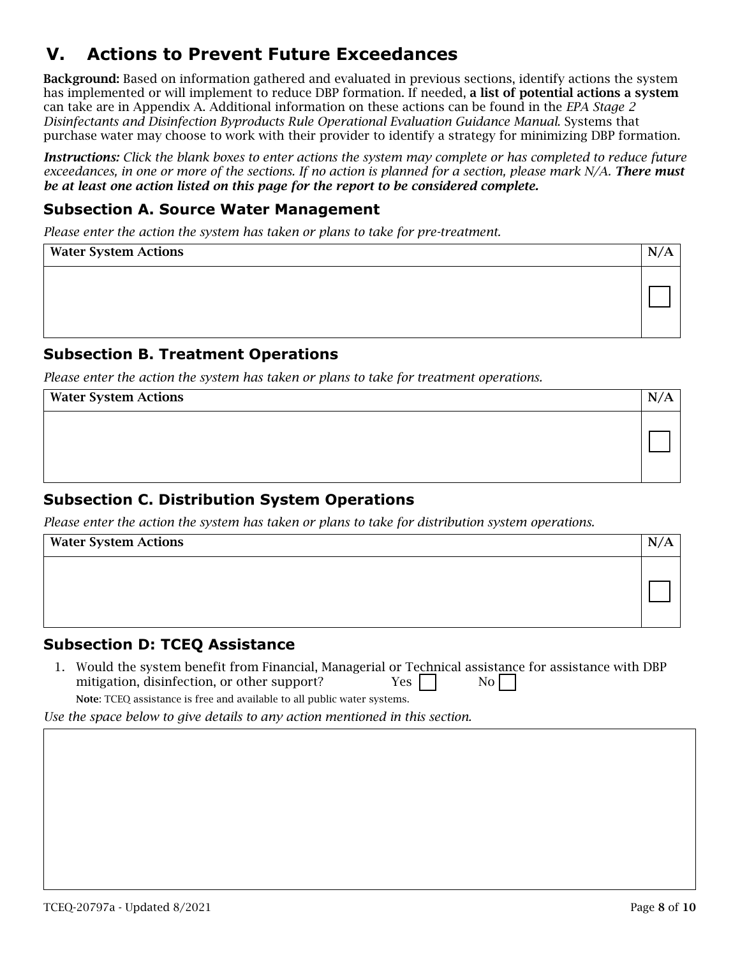## **V. Actions to Prevent Future Exceedances**

Background: Based on information gathered and evaluated in previous sections, identify actions the system has implemented or will implement to reduce DBP formation. If needed, a list of potential actions a system can take are in Appendix A. Additional information on these actions can be found in the *EPA Stage 2 Disinfectants and Disinfection Byproducts Rule Operational Evaluation Guidance Manual*. Systems that purchase water may choose to work with their provider to identify a strategy for minimizing DBP formation.

*Instructions: Click the blank boxes to enter actions the system may complete or has completed to reduce future exceedances, in one or more of the sections. If no action is planned for a section, please mark N/A. There must be at least one action listed on this page for the report to be considered complete.* 

#### **Subsection A. Source Water Management**

*Please enter the action the system has taken or plans to take for pre-treatment.*

| <b>Water System Actions</b> | IN. |
|-----------------------------|-----|
|                             |     |

#### **Subsection B. Treatment Operations**

*Please enter the action the system has taken or plans to take for treatment operations.*

| <b>Water System Actions</b> | N. |
|-----------------------------|----|
|                             |    |

### **Subsection C. Distribution System Operations**

*Please enter the action the system has taken or plans to take for distribution system operations.*

| <b>Water System Actions</b> |  |
|-----------------------------|--|
|                             |  |

#### **Subsection D: TCEQ Assistance**

1. Would the system benefit from Financial, Managerial or Technical assistance for assistance with DBP mitigation, disinfection, or other support?  $Yes$  | No

Note: TCEQ assistance is free and available to all public water systems.

*Use the space below to give details to any action mentioned in this section.*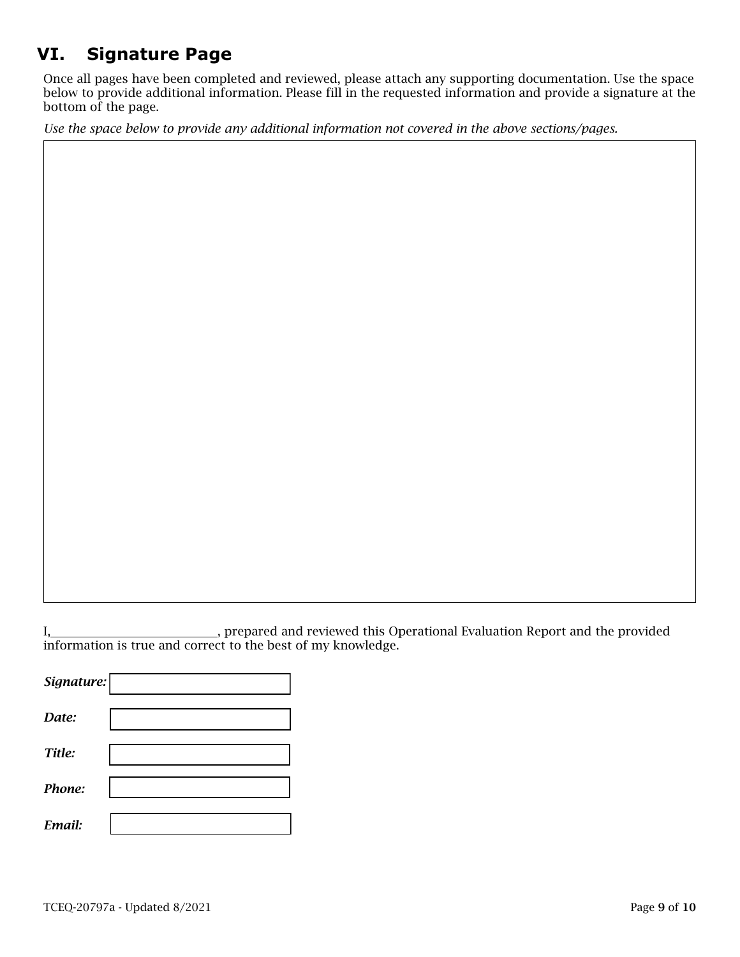# **VI. Signature Page**

Once all pages have been completed and reviewed, please attach any supporting documentation. Use the space below to provide additional information. Please fill in the requested information and provide a signature at the bottom of the page.

*Use the space below to provide any additional information not covered in the above sections/pages.*

I, , prepared and reviewed this Operational Evaluation Report and the provided information is true and correct to the best of my knowledge.

*Signature: Date: Title: Phone: Email:*